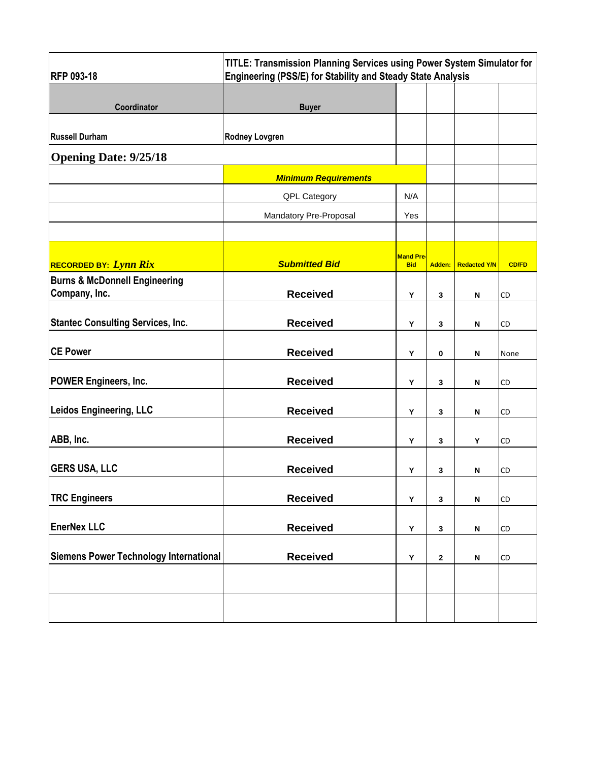| <b>RFP 093-18</b>                                         | TITLE: Transmission Planning Services using Power System Simulator for<br>Engineering (PSS/E) for Stability and Steady State Analysis |                                |              |                           |              |
|-----------------------------------------------------------|---------------------------------------------------------------------------------------------------------------------------------------|--------------------------------|--------------|---------------------------|--------------|
| Coordinator                                               | <b>Buyer</b>                                                                                                                          |                                |              |                           |              |
| <b>Russell Durham</b>                                     | <b>Rodney Lovgren</b>                                                                                                                 |                                |              |                           |              |
| <b>Opening Date: 9/25/18</b>                              |                                                                                                                                       |                                |              |                           |              |
|                                                           | <b>Minimum Requirements</b>                                                                                                           |                                |              |                           |              |
|                                                           | QPL Category                                                                                                                          | N/A                            |              |                           |              |
|                                                           | Mandatory Pre-Proposal                                                                                                                | Yes                            |              |                           |              |
|                                                           |                                                                                                                                       |                                |              |                           |              |
| <b>RECORDED BY: Lynn Rix</b>                              | <b>Submitted Bid</b>                                                                                                                  | <b>Mand Pre-</b><br><b>Bid</b> | Adden:       | <b>Redacted Y/N</b>       | <b>CD/FD</b> |
| <b>Burns &amp; McDonnell Engineering</b><br>Company, Inc. | <b>Received</b>                                                                                                                       | Y                              | 3            | N                         | <b>CD</b>    |
| <b>Stantec Consulting Services, Inc.</b>                  | <b>Received</b>                                                                                                                       | Υ                              | 3            | N                         | CD           |
| <b>CE Power</b>                                           | <b>Received</b>                                                                                                                       | Υ                              | 0            | N                         | None         |
| <b>POWER Engineers, Inc.</b>                              | <b>Received</b>                                                                                                                       | Υ                              | 3            | N                         | CD           |
| <b>Leidos Engineering, LLC</b>                            | <b>Received</b>                                                                                                                       | Y                              | 3            | N                         | CD           |
| ABB, Inc.                                                 | <b>Received</b>                                                                                                                       | Y                              | 3            | Υ                         | CD           |
| <b>GERS USA, LLC</b>                                      | <b>Received</b>                                                                                                                       | Y                              | 3            | N                         | CD           |
| <b>TRC Engineers</b>                                      | <b>Received</b>                                                                                                                       | Υ                              | $\mathbf{3}$ | N                         | <b>CD</b>    |
| <b>EnerNex LLC</b>                                        | <b>Received</b>                                                                                                                       | Υ                              | 3            | N                         | <b>CD</b>    |
| Siemens Power Technology International                    | <b>Received</b>                                                                                                                       | Υ                              | $\mathbf 2$  | $\boldsymbol{\mathsf{N}}$ | <b>CD</b>    |
|                                                           |                                                                                                                                       |                                |              |                           |              |
|                                                           |                                                                                                                                       |                                |              |                           |              |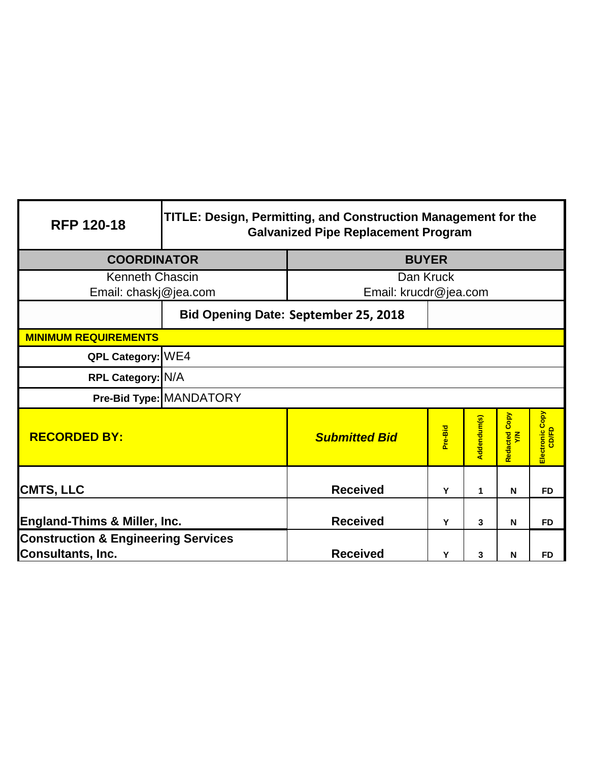| <b>RFP 120-18</b>                                                   | TITLE: Design, Permitting, and Construction Management for the<br><b>Galvanized Pipe Replacement Program</b> |                                             |           |             |                      |                          |
|---------------------------------------------------------------------|--------------------------------------------------------------------------------------------------------------|---------------------------------------------|-----------|-------------|----------------------|--------------------------|
| <b>COORDINATOR</b>                                                  | <b>BUYER</b>                                                                                                 |                                             |           |             |                      |                          |
| <b>Kenneth Chascin</b>                                              |                                                                                                              |                                             | Dan Kruck |             |                      |                          |
| Email: chaskj@jea.com                                               |                                                                                                              | Email: krucdr@jea.com                       |           |             |                      |                          |
|                                                                     |                                                                                                              | <b>Bid Opening Date: September 25, 2018</b> |           |             |                      |                          |
| <b>MINIMUM REQUIREMENTS</b>                                         |                                                                                                              |                                             |           |             |                      |                          |
| QPL Category: WE4                                                   |                                                                                                              |                                             |           |             |                      |                          |
| RPL Category: N/A                                                   |                                                                                                              |                                             |           |             |                      |                          |
|                                                                     | Pre-Bid Type: MANDATORY                                                                                      |                                             |           |             |                      |                          |
| <b>RECORDED BY:</b>                                                 |                                                                                                              | <b>Submitted Bid</b>                        | Pre-Bid   | Addendum(s) | Redacted Copy<br>Y/N | Electronic Copy<br>CD/FD |
| <b>CMTS, LLC</b>                                                    |                                                                                                              | <b>Received</b>                             | Y         | 1           | N                    | <b>FD</b>                |
| <b>England-Thims &amp; Miller, Inc.</b>                             | <b>Received</b>                                                                                              | Y                                           | 3         | N           | <b>FD</b>            |                          |
| <b>Construction &amp; Engineering Services</b><br>Consultants, Inc. | <b>Received</b>                                                                                              | Y                                           | 3         | N           | <b>FD</b>            |                          |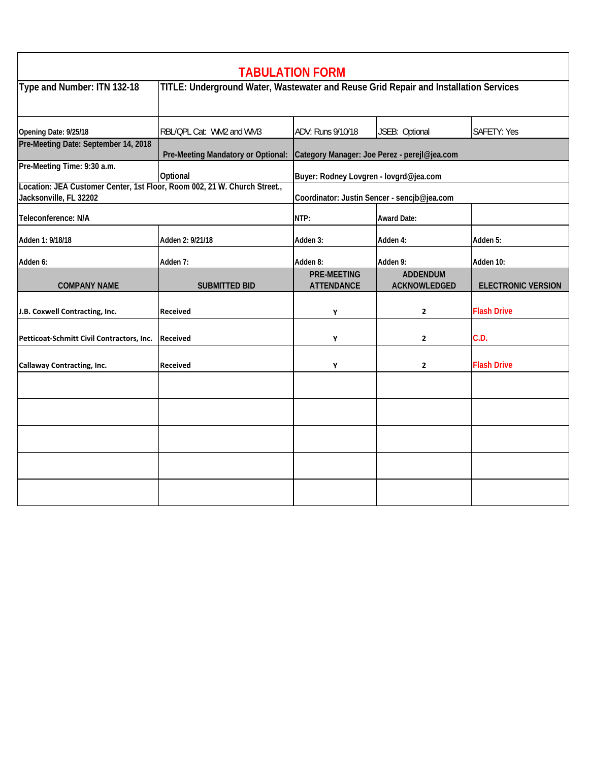|                                                                                                     |                                                                                      | <b>TABULATION FORM</b>                       |                                             |                           |  |
|-----------------------------------------------------------------------------------------------------|--------------------------------------------------------------------------------------|----------------------------------------------|---------------------------------------------|---------------------------|--|
| Type and Number: ITN 132-18                                                                         | TITLE: Underground Water, Wastewater and Reuse Grid Repair and Installation Services |                                              |                                             |                           |  |
| Opening Date: 9/25/18                                                                               | RBL/QPL Cat: WM2 and WM3                                                             | ADV: Runs 9/10/18                            | JSEB: Optional                              | <b>SAFETY: Yes</b>        |  |
| Pre-Meeting Date: September 14, 2018                                                                | Pre-Meeting Mandatory or Optional:                                                   | Category Manager: Joe Perez - perejl@jea.com |                                             |                           |  |
| Pre-Meeting Time: 9:30 a.m.                                                                         | Optional                                                                             | Buyer: Rodney Lovgren - lovgrd@jea.com       |                                             |                           |  |
| Location: JEA Customer Center, 1st Floor, Room 002, 21 W. Church Street.,<br>Jacksonville, FL 32202 |                                                                                      |                                              | Coordinator: Justin Sencer - sencjb@jea.com |                           |  |
| Teleconference: N/A                                                                                 |                                                                                      | NTP:                                         | <b>Award Date:</b>                          |                           |  |
| Adden 1: 9/18/18                                                                                    | Adden 2: 9/21/18                                                                     | Adden 3:                                     | Adden 4:                                    | Adden 5:                  |  |
| Adden 6:                                                                                            | Adden 7:                                                                             | Adden 8:                                     | Adden 9:                                    | Adden 10:                 |  |
| <b>COMPANY NAME</b>                                                                                 | <b>SUBMITTED BID</b>                                                                 | <b>PRE-MEETING</b><br><b>ATTENDANCE</b>      | <b>ADDENDUM</b><br>ACKNOWLEDGED             | <b>ELECTRONIC VERSION</b> |  |
| J.B. Coxwell Contracting, Inc.                                                                      | <b>Received</b>                                                                      | Υ                                            | $\mathbf{2}$                                | <b>Flash Drive</b>        |  |
| Petticoat-Schmitt Civil Contractors, Inc.                                                           | Received                                                                             | Υ                                            | $\mathbf{2}$                                | C.D.                      |  |
| <b>Callaway Contracting, Inc.</b>                                                                   | <b>Received</b>                                                                      | Υ                                            | $\mathbf{2}$                                | <b>Flash Drive</b>        |  |
|                                                                                                     |                                                                                      |                                              |                                             |                           |  |
|                                                                                                     |                                                                                      |                                              |                                             |                           |  |
|                                                                                                     |                                                                                      |                                              |                                             |                           |  |
|                                                                                                     |                                                                                      |                                              |                                             |                           |  |
|                                                                                                     |                                                                                      |                                              |                                             |                           |  |
|                                                                                                     |                                                                                      |                                              |                                             |                           |  |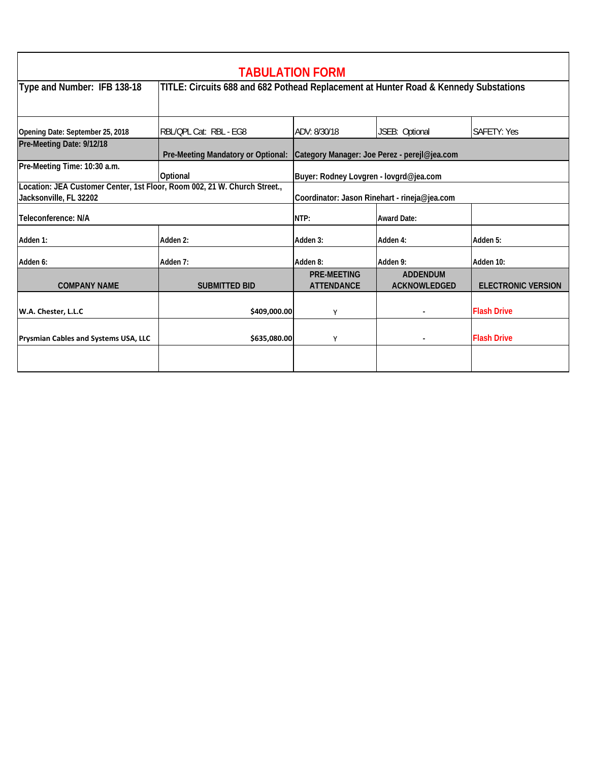| <b>TABULATION FORM</b>                                                                              |                                                                                      |                                              |                                        |                           |  |  |
|-----------------------------------------------------------------------------------------------------|--------------------------------------------------------------------------------------|----------------------------------------------|----------------------------------------|---------------------------|--|--|
| Type and Number: IFB 138-18                                                                         | TITLE: Circuits 688 and 682 Pothead Replacement at Hunter Road & Kennedy Substations |                                              |                                        |                           |  |  |
| Opening Date: September 25, 2018                                                                    | RBL/OPL Cat: RBL - EG8                                                               | ADV: 8/30/18                                 | JSEB: Optional                         | <b>SAFETY: Yes</b>        |  |  |
| Pre-Meeting Date: 9/12/18                                                                           | Pre-Meeting Mandatory or Optional: Category Manager: Joe Perez - perejl@jea.com      |                                              |                                        |                           |  |  |
| Pre-Meeting Time: 10:30 a.m.                                                                        | Optional                                                                             | Buyer: Rodney Lovgren - lovgrd@jea.com       |                                        |                           |  |  |
| Location: JEA Customer Center, 1st Floor, Room 002, 21 W. Church Street.,<br>Jacksonville, FL 32202 |                                                                                      | Coordinator: Jason Rinehart - rineja@jea.com |                                        |                           |  |  |
| Teleconference: N/A                                                                                 |                                                                                      | NTP:                                         | <b>Award Date:</b>                     |                           |  |  |
| Adden 1:                                                                                            | Adden 2:                                                                             | Adden 3:                                     | Adden 4:                               | Adden 5:                  |  |  |
| Adden 6:                                                                                            | Adden 7:                                                                             | Adden 8:                                     | Adden 9:                               | Adden 10:                 |  |  |
| <b>COMPANY NAME</b>                                                                                 | <b>SUBMITTED BID</b>                                                                 | <b>PRE-MEETING</b><br><b>ATTENDANCE</b>      | <b>ADDENDUM</b><br><b>ACKNOWLEDGED</b> | <b>ELECTRONIC VERSION</b> |  |  |
| W.A. Chester, L.L.C                                                                                 | \$409,000.00                                                                         | Υ                                            |                                        | <b>Flash Drive</b>        |  |  |
| Prysmian Cables and Systems USA, LLC                                                                | \$635,080.00                                                                         | Υ                                            |                                        | <b>Flash Drive</b>        |  |  |
|                                                                                                     |                                                                                      |                                              |                                        |                           |  |  |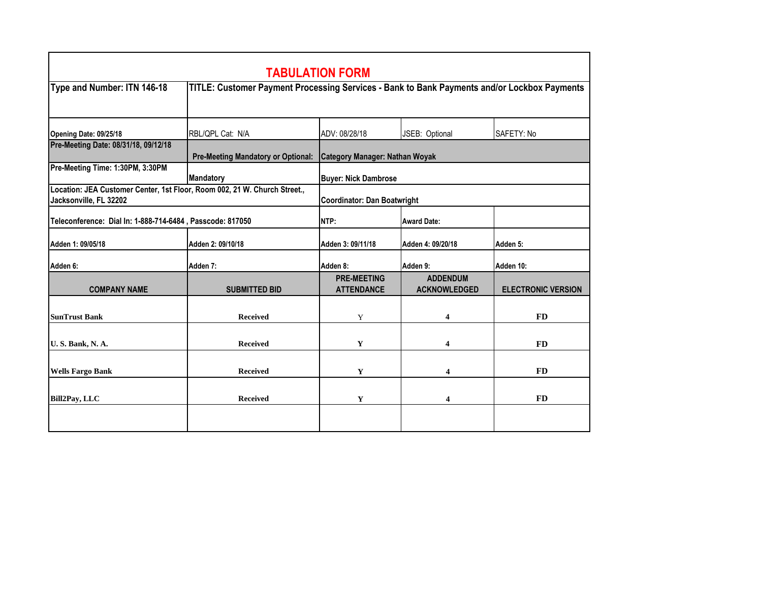| <b>TABULATION FORM</b>                                                                                                                    |                                                                                             |                                         |                                        |                           |  |  |
|-------------------------------------------------------------------------------------------------------------------------------------------|---------------------------------------------------------------------------------------------|-----------------------------------------|----------------------------------------|---------------------------|--|--|
| Type and Number: ITN 146-18                                                                                                               | TITLE: Customer Payment Processing Services - Bank to Bank Payments and/or Lockbox Payments |                                         |                                        |                           |  |  |
| Opening Date: 09/25/18                                                                                                                    | RBL/QPL Cat: N/A                                                                            | ADV: 08/28/18                           | JSEB: Optional                         | SAFETY: No                |  |  |
| Pre-Meeting Date: 08/31/18, 09/12/18                                                                                                      | <b>Pre-Meeting Mandatory or Optional:</b>                                                   | <b>Category Manager: Nathan Woyak</b>   |                                        |                           |  |  |
| Pre-Meeting Time: 1:30PM, 3:30PM                                                                                                          | <b>Mandatory</b>                                                                            | <b>Buyer: Nick Dambrose</b>             |                                        |                           |  |  |
| Location: JEA Customer Center, 1st Floor, Room 002, 21 W. Church Street.,<br>Jacksonville, FL 32202<br><b>Coordinator: Dan Boatwright</b> |                                                                                             |                                         |                                        |                           |  |  |
| Teleconference: Dial In: 1-888-714-6484, Passcode: 817050                                                                                 | NTP:                                                                                        | <b>Award Date:</b>                      |                                        |                           |  |  |
| Adden 1: 09/05/18                                                                                                                         | Adden 2: 09/10/18                                                                           | Adden 3: 09/11/18                       | Adden 4: 09/20/18                      | Adden 5:                  |  |  |
| Adden 6:                                                                                                                                  | Adden 7:                                                                                    | Adden 8:                                | Adden 9:                               | Adden 10:                 |  |  |
| <b>COMPANY NAME</b>                                                                                                                       | <b>SUBMITTED BID</b>                                                                        | <b>PRE-MEETING</b><br><b>ATTENDANCE</b> | <b>ADDENDUM</b><br><b>ACKNOWLEDGED</b> | <b>ELECTRONIC VERSION</b> |  |  |
| <b>SunTrust Bank</b>                                                                                                                      | <b>Received</b>                                                                             | Y                                       | 4                                      | <b>FD</b>                 |  |  |
| <b>U. S. Bank, N. A.</b>                                                                                                                  | <b>Received</b>                                                                             | Y                                       | 4                                      | <b>FD</b>                 |  |  |
| <b>Wells Fargo Bank</b>                                                                                                                   | <b>Received</b>                                                                             | Y                                       | 4                                      | <b>FD</b>                 |  |  |
| <b>Bill2Pay, LLC</b>                                                                                                                      | <b>Received</b>                                                                             | Y                                       | 4                                      | <b>FD</b>                 |  |  |
|                                                                                                                                           |                                                                                             |                                         |                                        |                           |  |  |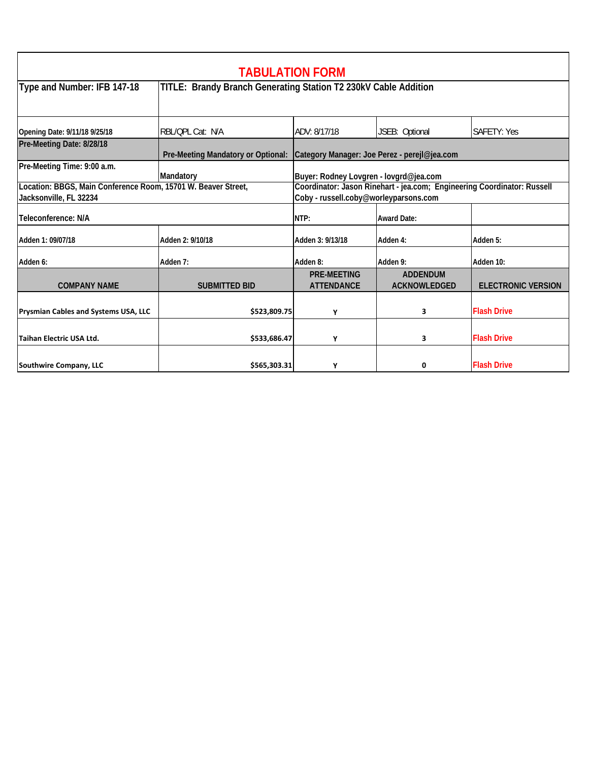| <b>TABULATION FORM</b>                                                                  |                                                                                 |                                                                                                                  |                                        |                           |  |  |
|-----------------------------------------------------------------------------------------|---------------------------------------------------------------------------------|------------------------------------------------------------------------------------------------------------------|----------------------------------------|---------------------------|--|--|
| Type and Number: IFB 147-18                                                             | TITLE: Brandy Branch Generating Station T2 230kV Cable Addition                 |                                                                                                                  |                                        |                           |  |  |
| Opening Date: 9/11/18 9/25/18                                                           | RBL/OPL Cat: N/A                                                                | ADV: 8/17/18                                                                                                     | JSEB: Optional                         | <b>SAFETY: Yes</b>        |  |  |
| Pre-Meeting Date: 8/28/18                                                               | Pre-Meeting Mandatory or Optional: Category Manager: Joe Perez - perejl@jea.com |                                                                                                                  |                                        |                           |  |  |
| Pre-Meeting Time: 9:00 a.m.                                                             | Mandatory                                                                       | Buyer: Rodney Lovgren - lovgrd@jea.com                                                                           |                                        |                           |  |  |
| Location: BBGS, Main Conference Room, 15701 W. Beaver Street,<br>Jacksonville, FL 32234 |                                                                                 | Coordinator: Jason Rinehart - jea.com; Engineering Coordinator: Russell<br>Coby - russell.coby@worleyparsons.com |                                        |                           |  |  |
| Teleconference: N/A                                                                     |                                                                                 | NTP:                                                                                                             | <b>Award Date:</b>                     |                           |  |  |
| Adden 1: 09/07/18                                                                       | Adden 2: 9/10/18                                                                | Adden 3: 9/13/18                                                                                                 | Adden 4:                               | Adden 5:                  |  |  |
| Adden 6:                                                                                | Adden 7:                                                                        | Adden 8:                                                                                                         | Adden 9:                               | Adden 10:                 |  |  |
| <b>COMPANY NAME</b>                                                                     | <b>SUBMITTED BID</b>                                                            | <b>PRE-MEETING</b><br><b>ATTENDANCE</b>                                                                          | <b>ADDENDUM</b><br><b>ACKNOWLEDGED</b> | <b>ELECTRONIC VERSION</b> |  |  |
| Prysmian Cables and Systems USA, LLC                                                    | \$523,809.75                                                                    | Υ                                                                                                                | 3                                      | <b>Flash Drive</b>        |  |  |
| Taihan Electric USA Ltd.                                                                | \$533,686.47                                                                    | Υ                                                                                                                | 3                                      | <b>Flash Drive</b>        |  |  |
| Southwire Company, LLC                                                                  | \$565,303.31                                                                    | Υ                                                                                                                | 0                                      | <b>Flash Drive</b>        |  |  |